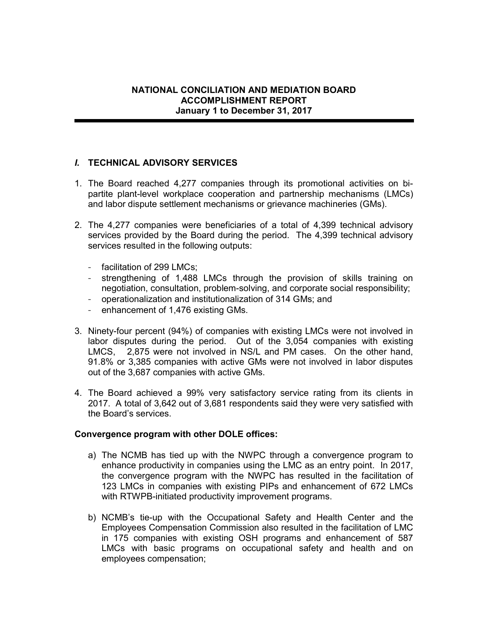# I. TECHNICAL ADVISORY SERVICES

- 1. The Board reached 4,277 companies through its promotional activities on bipartite plant-level workplace cooperation and partnership mechanisms (LMCs) and labor dispute settlement mechanisms or grievance machineries (GMs).
- 2. The 4,277 companies were beneficiaries of a total of 4,399 technical advisory services provided by the Board during the period. The 4,399 technical advisory services resulted in the following outputs:
	- facilitation of 299 LMCs;
	- strengthening of 1,488 LMCs through the provision of skills training on negotiation, consultation, problem-solving, and corporate social responsibility;
	- operationalization and institutionalization of 314 GMs; and
	- enhancement of 1,476 existing GMs.
- 3. Ninety-four percent (94%) of companies with existing LMCs were not involved in labor disputes during the period. Out of the 3,054 companies with existing LMCS, 2,875 were not involved in NS/L and PM cases. On the other hand, 91.8% or 3,385 companies with active GMs were not involved in labor disputes out of the 3,687 companies with active GMs.
- 4. The Board achieved a 99% very satisfactory service rating from its clients in 2017. A total of 3,642 out of 3,681 respondents said they were very satisfied with the Board's services.

#### Convergence program with other DOLE offices:

- a) The NCMB has tied up with the NWPC through a convergence program to enhance productivity in companies using the LMC as an entry point. In 2017, the convergence program with the NWPC has resulted in the facilitation of 123 LMCs in companies with existing PIPs and enhancement of 672 LMCs with RTWPB-initiated productivity improvement programs.
- b) NCMB's tie-up with the Occupational Safety and Health Center and the Employees Compensation Commission also resulted in the facilitation of LMC in 175 companies with existing OSH programs and enhancement of 587 LMCs with basic programs on occupational safety and health and on employees compensation;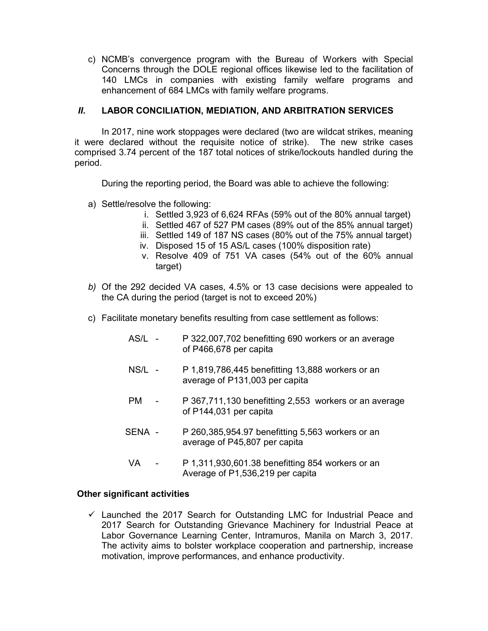c) NCMB's convergence program with the Bureau of Workers with Special Concerns through the DOLE regional offices likewise led to the facilitation of 140 LMCs in companies with existing family welfare programs and enhancement of 684 LMCs with family welfare programs.

### II. LABOR CONCILIATION, MEDIATION, AND ARBITRATION SERVICES

In 2017, nine work stoppages were declared (two are wildcat strikes, meaning it were declared without the requisite notice of strike). The new strike cases comprised 3.74 percent of the 187 total notices of strike/lockouts handled during the period.

During the reporting period, the Board was able to achieve the following:

- a) Settle/resolve the following:
	- i. Settled 3,923 of 6,624 RFAs (59% out of the 80% annual target)
	- ii. Settled 467 of 527 PM cases (89% out of the 85% annual target)
	- iii. Settled 149 of 187 NS cases (80% out of the 75% annual target)
	- iv. Disposed 15 of 15 AS/L cases (100% disposition rate)
	- v. Resolve 409 of 751 VA cases (54% out of the 60% annual target)
- b) Of the 292 decided VA cases, 4.5% or 13 case decisions were appealed to the CA during the period (target is not to exceed 20%)
- c) Facilitate monetary benefits resulting from case settlement as follows:
	- AS/L P 322,007,702 benefitting 690 workers or an average of P466,678 per capita
	- NS/L P 1,819,786,445 benefitting 13,888 workers or an average of P131,003 per capita
	- PM P 367,711,130 benefitting 2,553 workers or an average of P144,031 per capita
	- SENA P 260,385,954.97 benefitting 5,563 workers or an average of P45,807 per capita
	- VA P 1,311,930,601.38 benefitting 854 workers or an Average of P1,536,219 per capita

#### Other significant activities

 $\checkmark$  Launched the 2017 Search for Outstanding LMC for Industrial Peace and 2017 Search for Outstanding Grievance Machinery for Industrial Peace at Labor Governance Learning Center, Intramuros, Manila on March 3, 2017. The activity aims to bolster workplace cooperation and partnership, increase motivation, improve performances, and enhance productivity.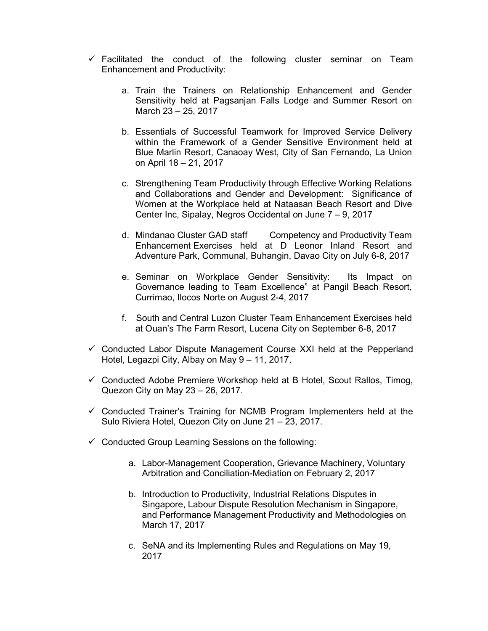- $\checkmark$  Facilitated the conduct of the following cluster seminar on Team Enhancement and Productivity:
	- a. Train the Trainers on Relationship Enhancement and Gender Sensitivity held at Pagsanjan Falls Lodge and Summer Resort on March 23 – 25, 2017
	- b. Essentials of Successful Teamwork for Improved Service Delivery within the Framework of a Gender Sensitive Environment held at Blue Marlin Resort, Canaoay West, City of San Fernando, La Union on April 18 – 21, 2017
	- c. Strengthening Team Productivity through Effective Working Relations and Collaborations and Gender and Development: Significance of Women at the Workplace held at Nataasan Beach Resort and Dive Center Inc, Sipalay, Negros Occidental on June 7 – 9, 2017
	- d. Mindanao Cluster GAD staff Competency and Productivity Team Enhancement Exercises held at D Leonor Inland Resort and Adventure Park, Communal, Buhangin, Davao City on July 6-8, 2017
	- e. Seminar on Workplace Gender Sensitivity: Its Impact on Governance leading to Team Excellence" at Pangil Beach Resort, Currimao, Ilocos Norte on August 2-4, 2017
	- f. South and Central Luzon Cluster Team Enhancement Exercises held at Ouan's The Farm Resort, Lucena City on September 6-8, 2017
- $\checkmark$  Conducted Labor Dispute Management Course XXI held at the Pepperland Hotel, Legazpi City, Albay on May 9 – 11, 2017.
- $\checkmark$  Conducted Adobe Premiere Workshop held at B Hotel, Scout Rallos, Timog, Quezon City on May 23 – 26, 2017.
- $\checkmark$  Conducted Trainer's Training for NCMB Program Implementers held at the Sulo Riviera Hotel, Quezon City on June 21 – 23, 2017.
- $\checkmark$  Conducted Group Learning Sessions on the following:
	- a. Labor-Management Cooperation, Grievance Machinery, Voluntary Arbitration and Conciliation-Mediation on February 2, 2017
	- b. Introduction to Productivity, Industrial Relations Disputes in Singapore, Labour Dispute Resolution Mechanism in Singapore, and Performance Management Productivity and Methodologies on March 17, 2017
	- c. SeNA and its Implementing Rules and Regulations on May 19, 2017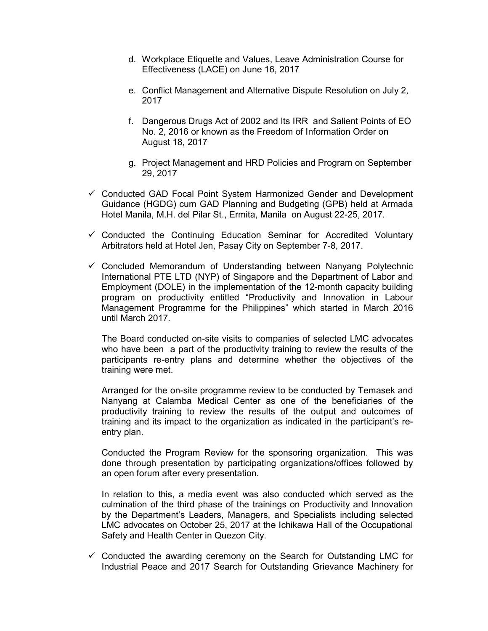- d. Workplace Etiquette and Values, Leave Administration Course for Effectiveness (LACE) on June 16, 2017
- e. Conflict Management and Alternative Dispute Resolution on July 2, 2017
- f. Dangerous Drugs Act of 2002 and Its IRR and Salient Points of EO No. 2, 2016 or known as the Freedom of Information Order on August 18, 2017
- g. Project Management and HRD Policies and Program on September 29, 2017
- Conducted GAD Focal Point System Harmonized Gender and Development Guidance (HGDG) cum GAD Planning and Budgeting (GPB) held at Armada Hotel Manila, M.H. del Pilar St., Ermita, Manila on August 22-25, 2017.
- $\checkmark$  Conducted the Continuing Education Seminar for Accredited Voluntary Arbitrators held at Hotel Jen, Pasay City on September 7-8, 2017.
- $\checkmark$  Concluded Memorandum of Understanding between Nanyang Polytechnic International PTE LTD (NYP) of Singapore and the Department of Labor and Employment (DOLE) in the implementation of the 12-month capacity building program on productivity entitled "Productivity and Innovation in Labour Management Programme for the Philippines" which started in March 2016 until March 2017.

The Board conducted on-site visits to companies of selected LMC advocates who have been a part of the productivity training to review the results of the participants re-entry plans and determine whether the objectives of the training were met.

Arranged for the on-site programme review to be conducted by Temasek and Nanyang at Calamba Medical Center as one of the beneficiaries of the productivity training to review the results of the output and outcomes of training and its impact to the organization as indicated in the participant's reentry plan.

Conducted the Program Review for the sponsoring organization. This was done through presentation by participating organizations/offices followed by an open forum after every presentation.

In relation to this, a media event was also conducted which served as the culmination of the third phase of the trainings on Productivity and Innovation by the Department's Leaders, Managers, and Specialists including selected LMC advocates on October 25, 2017 at the Ichikawa Hall of the Occupational Safety and Health Center in Quezon City.

 $\checkmark$  Conducted the awarding ceremony on the Search for Outstanding LMC for Industrial Peace and 2017 Search for Outstanding Grievance Machinery for